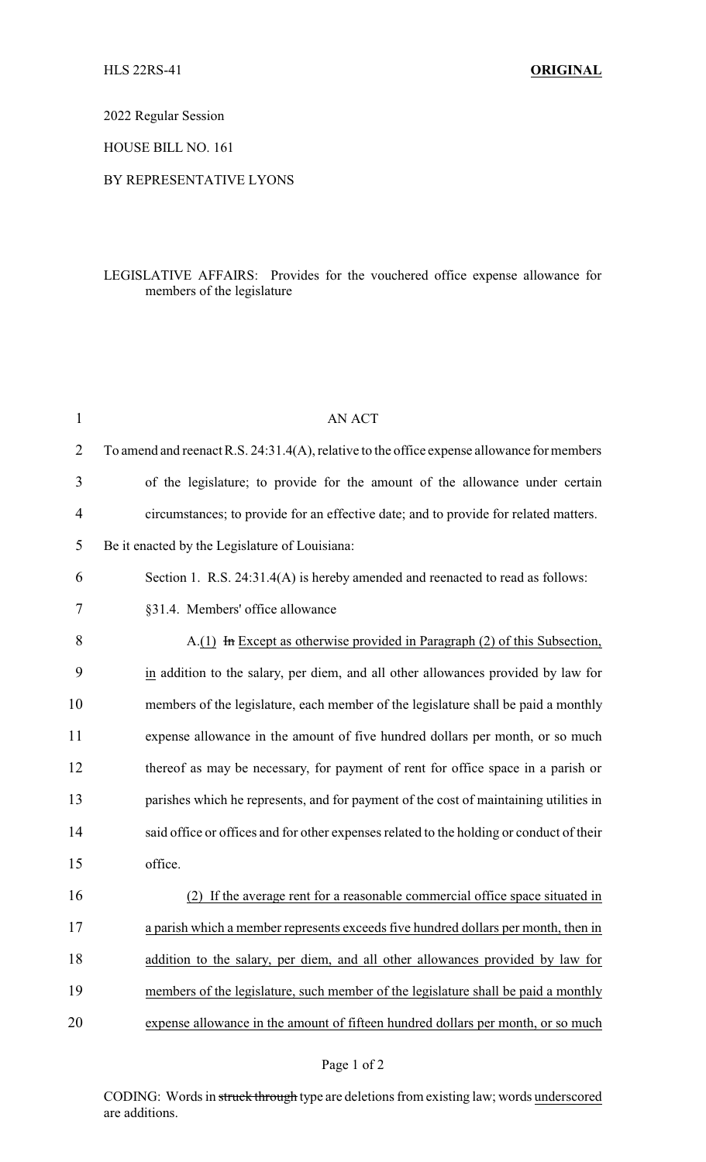2022 Regular Session

HOUSE BILL NO. 161

## BY REPRESENTATIVE LYONS

## LEGISLATIVE AFFAIRS: Provides for the vouchered office expense allowance for members of the legislature

| 1              | <b>AN ACT</b>                                                                              |
|----------------|--------------------------------------------------------------------------------------------|
| $\overline{2}$ | To amend and reenact R.S. 24:31.4(A), relative to the office expense allowance for members |
| 3              | of the legislature; to provide for the amount of the allowance under certain               |
| 4              | circumstances; to provide for an effective date; and to provide for related matters.       |
| 5              | Be it enacted by the Legislature of Louisiana:                                             |
| 6              | Section 1. R.S. 24:31.4(A) is hereby amended and reenacted to read as follows:             |
| 7              | §31.4. Members' office allowance                                                           |
| 8              | $A(1)$ In Except as otherwise provided in Paragraph (2) of this Subsection,                |
| 9              | in addition to the salary, per diem, and all other allowances provided by law for          |
| 10             | members of the legislature, each member of the legislature shall be paid a monthly         |
| 11             | expense allowance in the amount of five hundred dollars per month, or so much              |
| 12             | thereof as may be necessary, for payment of rent for office space in a parish or           |
| 13             | parishes which he represents, and for payment of the cost of maintaining utilities in      |
| 14             | said office or offices and for other expenses related to the holding or conduct of their   |
| 15             | office.                                                                                    |
| 16             | (2) If the average rent for a reasonable commercial office space situated in               |
| 17             | a parish which a member represents exceeds five hundred dollars per month, then in         |
| 18             | addition to the salary, per diem, and all other allowances provided by law for             |
| 19             | members of the legislature, such member of the legislature shall be paid a monthly         |
| 20             | expense allowance in the amount of fifteen hundred dollars per month, or so much           |

CODING: Words in struck through type are deletions from existing law; words underscored are additions.